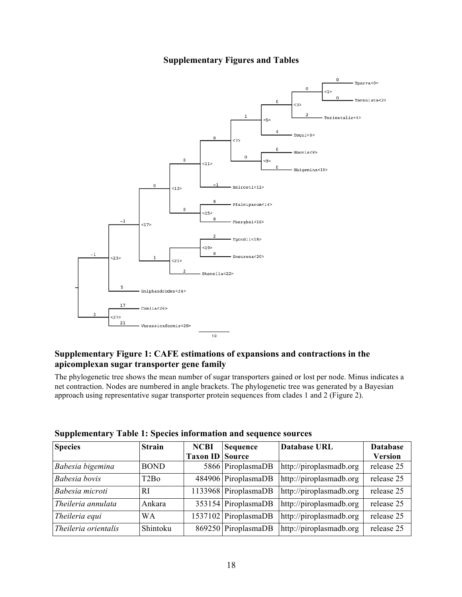## **Supplementary Figures and Tables**



## **Supplementary Figure 1: CAFE estimations of expansions and contractions in the apicomplexan sugar transporter gene family**

The phylogenetic tree shows the mean number of sugar transporters gained or lost per node. Minus indicates a net contraction. Nodes are numbered in angle brackets. The phylogenetic tree was generated by a Bayesian approach using representative sugar transporter protein sequences from clades 1 and 2 (Figure 2).

| <b>Species</b>       | <b>Strain</b> | <b>NCBI</b>            | <b>Sequence</b>      | <b>Database URL</b>     | <b>Database</b> |
|----------------------|---------------|------------------------|----------------------|-------------------------|-----------------|
|                      |               | <b>Taxon ID Source</b> |                      |                         | <b>Version</b>  |
| Babesia bigemina     | <b>BOND</b>   |                        | 5866 PiroplasmaDB    | http://piroplasmadb.org | release 25      |
| Babesia bovis        | T2Bo          |                        | 484906 PiroplasmaDB  | http://piroplasmadb.org | release 25      |
| Babesia microti      | RI            |                        | 1133968 PiroplasmaDB | http://piroplasmadb.org | release 25      |
| Theileria annulata   | Ankara        |                        | 353154 PiroplasmaDB  | http://piroplasmadb.org | release 25      |
| Theileria equi       | WА            |                        | 1537102 PiroplasmaDB | http://piroplasmadb.org | release 25      |
| Theileria orientalis | Shintoku      |                        | 869250 PiroplasmaDB  | http://piroplasmadb.org | release 25      |

## **Supplementary Table 1: Species information and sequence sources**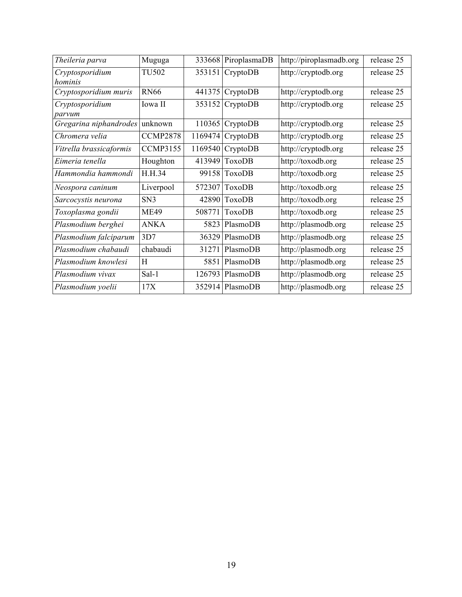| Theileria parva            | Muguga          | 333668  | PiroplasmaDB      | http://piroplasmadb.org | release 25 |
|----------------------------|-----------------|---------|-------------------|-------------------------|------------|
| Cryptosporidium<br>hominis | <b>TU502</b>    |         | 353151 CryptoDB   | http://cryptodb.org     | release 25 |
| Cryptosporidium muris      | <b>RN66</b>     | 441375  | CryptoDB          | http://cryptodb.org     | release 25 |
| Cryptosporidium<br>parvum  | Iowa II         |         | 353152 CryptoDB   | http://cryptodb.org     | release 25 |
| Gregarina niphandrodes     | unknown         | 110365  | CryptoDB          | http://cryptodb.org     | release 25 |
| Chromera velia             | <b>CCMP2878</b> |         | 1169474 CryptoDB  | http://cryptodb.org     | release 25 |
| Vitrella brassicaformis    | <b>CCMP3155</b> | 1169540 | CryptoDB          | http://cryptodb.org     | release 25 |
| Eimeria tenella            | Houghton        |         | 413949 ToxoDB     | http://toxodb.org       | release 25 |
| Hammondia hammondi         | H.H.34          |         | 99158 ToxoDB      | http://toxodb.org       | release 25 |
| Neospora caninum           | Liverpool       | 572307  | ToxoDB            | http://toxodb.org       | release 25 |
| Sarcocystis neurona        | SN <sub>3</sub> | 42890   | <b>ToxoDB</b>     | http://toxodb.org       | release 25 |
| Toxoplasma gondii          | <b>ME49</b>     | 508771  | <b>ToxoDB</b>     | http://toxodb.org       | release 25 |
| Plasmodium berghei         | <b>ANKA</b>     | 5823    | PlasmoDB          | http://plasmodb.org     | release 25 |
| Plasmodium falciparum      | 3D7             |         | 36329 PlasmoDB    | http://plasmodb.org     | release 25 |
| Plasmodium chabaudi        | chabaudi        | 31271   | PlasmoDB          | http://plasmodb.org     | release 25 |
| Plasmodium knowlesi        | Н               | 5851    | PlasmoDB          | http://plasmodb.org     | release 25 |
| Plasmodium vivax           | Sal-1           |         | $126793$ PlasmoDB | http://plasmodb.org     | release 25 |
| Plasmodium yoelii          | 17X             |         | 352914 PlasmoDB   | http://plasmodb.org     | release 25 |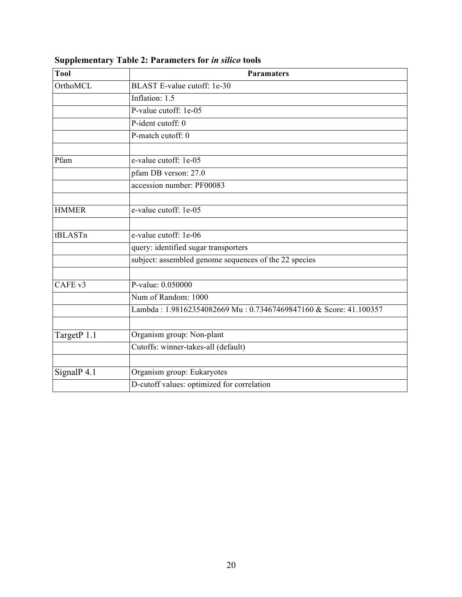| <b>Tool</b>  | <b>Paramaters</b>                                                |
|--------------|------------------------------------------------------------------|
| OrthoMCL     | BLAST E-value cutoff: 1e-30                                      |
|              | Inflation: 1.5                                                   |
|              | P-value cutoff: 1e-05                                            |
|              | P-ident cutoff: $\overline{0}$                                   |
|              | P-match cutoff: 0                                                |
| Pfam         | e-value cutoff: 1e-05                                            |
|              | pfam DB verson: 27.0                                             |
|              | accession number: PF00083                                        |
|              |                                                                  |
| <b>HMMER</b> | e-value cutoff: 1e-05                                            |
|              |                                                                  |
| tBLASTn      | e-value cutoff: 1e-06                                            |
|              | query: identified sugar transporters                             |
|              | subject: assembled genome sequences of the 22 species            |
|              |                                                                  |
| CAFE v3      | P-value: 0.050000                                                |
|              | Num of Random: 1000                                              |
|              | Lambda: 1.98162354082669 Mu: 0.73467469847160 & Score: 41.100357 |
|              |                                                                  |
| TargetP 1.1  | Organism group: Non-plant                                        |
|              | Cutoffs: winner-takes-all (default)                              |
|              |                                                                  |
| SignalP 4.1  | Organism group: Eukaryotes                                       |
|              | D-cutoff values: optimized for correlation                       |

**Supplementary Table 2: Parameters for** *in silico* **tools**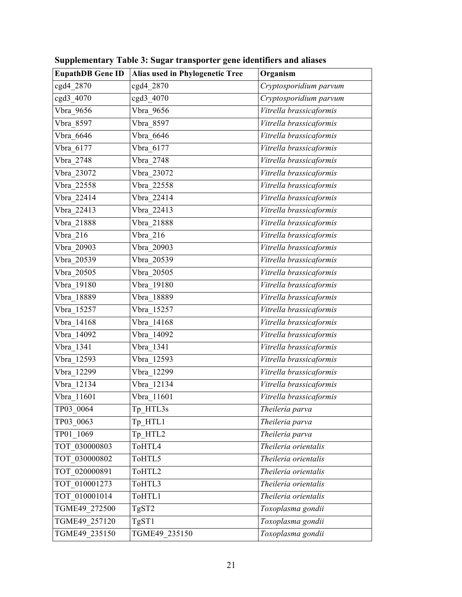| <b>EupathDB Gene ID</b> | Alias used in Phylogenetic Tree | Organism                |
|-------------------------|---------------------------------|-------------------------|
| cgd4 2870               | cgd4 2870                       | Cryptosporidium parvum  |
| cgd3 4070               | cgd3_4070                       | Cryptosporidium parvum  |
| Vbra 9656               | Vbra 9656                       | Vitrella brassicaformis |
| Vbra 8597               | Vbra 8597                       | Vitrella brassicaformis |
| Vbra 6646               | Vbra 6646                       | Vitrella brassicaformis |
| Vbra_6177               | Vbra_6177                       | Vitrella brassicaformis |
| Vbra 2748               | Vbra 2748                       | Vitrella brassicaformis |
| Vbra 23072              | Vbra 23072                      | Vitrella brassicaformis |
| Vbra 22558              | Vbra 22558                      | Vitrella brassicaformis |
| Vbra 22414              | Vbra 22414                      | Vitrella brassicaformis |
| Vbra 22413              | Vbra 22413                      | Vitrella brassicaformis |
| Vbra 21888              | Vbra 21888                      | Vitrella brassicaformis |
| Vbra 216                | Vbra 216                        | Vitrella brassicaformis |
| Vbra 20903              | Vbra 20903                      | Vitrella brassicaformis |
| Vbra 20539              | Vbra 20539                      | Vitrella brassicaformis |
| Vbra 20505              | Vbra 20505                      | Vitrella brassicaformis |
| Vbra 19180              | Vbra 19180                      | Vitrella brassicaformis |
| Vbra 18889              | Vbra 18889                      | Vitrella brassicaformis |
| Vbra 15257              | Vbra 15257                      | Vitrella brassicaformis |
| Vbra 14168              | Vbra 14168                      | Vitrella brassicaformis |
| Vbra 14092              | Vbra 14092                      | Vitrella brassicaformis |
| Vbra 1341               | Vbra 1341                       | Vitrella brassicaformis |
| Vbra 12593              | Vbra_12593                      | Vitrella brassicaformis |
| Vbra 12299              | Vbra 12299                      | Vitrella brassicaformis |
| $Vbra_12134$            | Vbra 12134                      | Vitrella brassicaformis |
| $Vbra_11601$            | Vbra 11601                      | Vitrella brassicaformis |
| TP03 0064               | Tp HTL3s                        | Theileria parva         |
| TP03 0063               | $Tp$ $HTL1$                     | Theileria parva         |
| TP01 1069               | Tp HTL2                         | Theileria parva         |
| TOT 030000803           | ToHTL4                          | Theileria orientalis    |
| TOT 030000802           | ToHTL5                          | Theileria orientalis    |
| TOT 020000891           | ToHTL2                          | Theileria orientalis    |
| TOT 010001273           | ToHTL3                          | Theileria orientalis    |
| TOT 010001014           | ToHTL1                          | Theileria orientalis    |
| TGME49_272500           | TgST2                           | Toxoplasma gondii       |
| TGME49 257120           | TgST1                           | Toxoplasma gondii       |
| TGME49 235150           | TGME49 235150                   | Toxoplasma gondii       |

**Supplementary Table 3: Sugar transporter gene identifiers and aliases**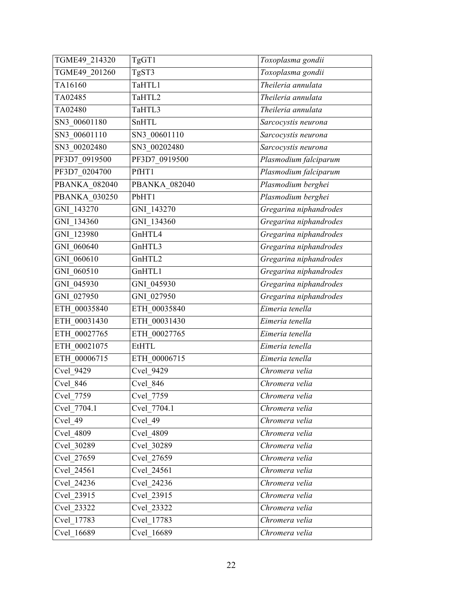| TGME49 214320        | TgGT1                | Toxoplasma gondii      |
|----------------------|----------------------|------------------------|
| TGME49 201260        | TgST3                | Toxoplasma gondii      |
| TA16160              | TaHTL1               | Theileria annulata     |
| TA02485              | TaHTL2               | Theileria annulata     |
| TA02480              | TaHTL3               | Theileria annulata     |
| SN3 00601180         | SnHTL                | Sarcocystis neurona    |
| SN3 00601110         | SN3 00601110         | Sarcocystis neurona    |
| SN3 00202480         | SN3 00202480         | Sarcocystis neurona    |
| PF3D7_0919500        | PF3D7_0919500        | Plasmodium falciparum  |
| PF3D7_0204700        | PfHT1                | Plasmodium falciparum  |
| <b>PBANKA 082040</b> | <b>PBANKA 082040</b> | Plasmodium berghei     |
| <b>PBANKA 030250</b> | PbHT1                | Plasmodium berghei     |
| GNI 143270           | GNI 143270           | Gregarina niphandrodes |
| GNI_134360           | GNI 134360           | Gregarina niphandrodes |
| GNI 123980           | GnHTL4               | Gregarina niphandrodes |
| GNI 060640           | GnHTL3               | Gregarina niphandrodes |
| GNI 060610           | GnHTL2               | Gregarina niphandrodes |
| GNI 060510           | GnHTL1               | Gregarina niphandrodes |
| GNI 045930           | GNI 045930           | Gregarina niphandrodes |
| GNI 027950           | GNI 027950           | Gregarina niphandrodes |
| ETH 00035840         | ETH 00035840         | Eimeria tenella        |
| ETH_00031430         | ETH 00031430         | Eimeria tenella        |
| ETH 00027765         | ETH 00027765         | Eimeria tenella        |
| ETH 00021075         | <b>EtHTL</b>         | Eimeria tenella        |
| ETH 00006715         | ETH_00006715         | Eimeria tenella        |
| Cvel 9429            | Cvel 9429            | Chromera velia         |
| Cvel 846             | Cvel 846             | Chromera velia         |
| Cvel 7759            | Cvel 7759            | Chromera velia         |
| Cvel 7704.1          | Cvel 7704.1          | Chromera velia         |
| Cvel 49              | Cvel 49              | Chromera velia         |
| Cvel 4809            | Cvel 4809            | Chromera velia         |
| Cvel 30289           | Cvel 30289           | Chromera velia         |
| Cvel 27659           | Cvel 27659           | Chromera velia         |
| Cvel 24561           | Cvel 24561           | Chromera velia         |
| Cvel 24236           | Cvel 24236           | Chromera velia         |
| Cvel 23915           | Cvel 23915           | Chromera velia         |
| Cvel 23322           | Cvel 23322           | Chromera velia         |
| Cvel 17783           | Cvel 17783           | Chromera velia         |
| Cvel 16689           | Cvel 16689           | Chromera velia         |